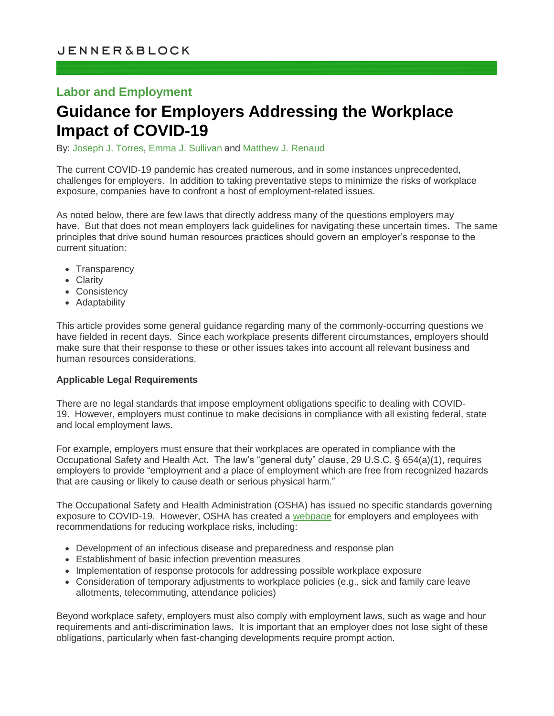# **Labor and Employment**

# **Guidance for Employers Addressing the Workplace Impact of COVID-19**

By: [Joseph J. Torres,](https://jenner.com/people/JosephTorres) [Emma J. Sullivan](https://jenner.com/people/EmmaSullivan) and [Matthew J. Renaud](https://jenner.com/people/MatthewRenaud)

The current COVID-19 pandemic has created numerous, and in some instances unprecedented, challenges for employers. In addition to taking preventative steps to minimize the risks of workplace exposure, companies have to confront a host of employment-related issues.

As noted below, there are few laws that directly address many of the questions employers may have. But that does not mean employers lack guidelines for navigating these uncertain times. The same principles that drive sound human resources practices should govern an employer's response to the current situation:

- Transparency
- Clarity
- Consistency
- Adaptability

This article provides some general guidance regarding many of the commonly-occurring questions we have fielded in recent days. Since each workplace presents different circumstances, employers should make sure that their response to these or other issues takes into account all relevant business and human resources considerations.

#### **Applicable Legal Requirements**

There are no legal standards that impose employment obligations specific to dealing with COVID-19. However, employers must continue to make decisions in compliance with all existing federal, state and local employment laws.

For example, employers must ensure that their workplaces are operated in compliance with the Occupational Safety and Health Act. The law's "general duty" clause, 29 U.S.C. § 654(a)(1), requires employers to provide "employment and a place of employment which are free from recognized hazards that are causing or likely to cause death or serious physical harm."

The Occupational Safety and Health Administration (OSHA) has issued no specific standards governing exposure to COVID-19. However, OSHA has created a [webpage](http://www.osha.gov/covid-19) for employers and employees with recommendations for reducing workplace risks, including:

- Development of an infectious disease and preparedness and response plan
- Establishment of basic infection prevention measures
- Implementation of response protocols for addressing possible workplace exposure
- Consideration of temporary adjustments to workplace policies (e.g., sick and family care leave allotments, telecommuting, attendance policies)

Beyond workplace safety, employers must also comply with employment laws, such as wage and hour requirements and anti-discrimination laws. It is important that an employer does not lose sight of these obligations, particularly when fast-changing developments require prompt action.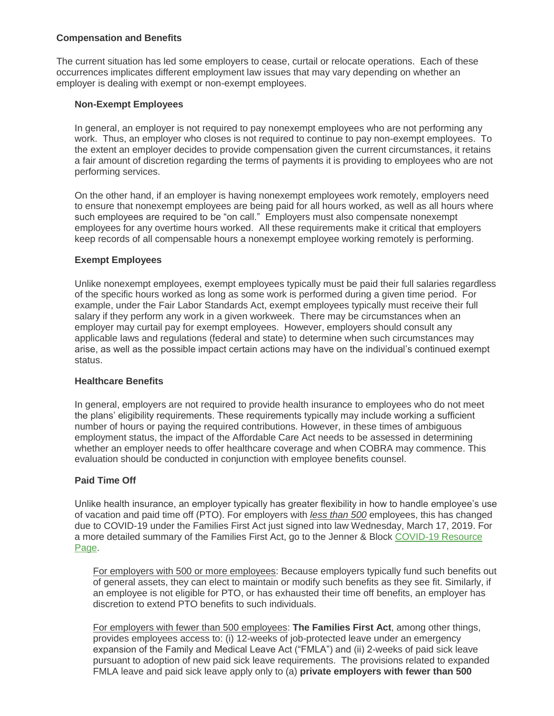## **Compensation and Benefits**

The current situation has led some employers to cease, curtail or relocate operations. Each of these occurrences implicates different employment law issues that may vary depending on whether an employer is dealing with exempt or non-exempt employees.

## **Non-Exempt Employees**

In general, an employer is not required to pay nonexempt employees who are not performing any work. Thus, an employer who closes is not required to continue to pay non-exempt employees. To the extent an employer decides to provide compensation given the current circumstances, it retains a fair amount of discretion regarding the terms of payments it is providing to employees who are not performing services.

On the other hand, if an employer is having nonexempt employees work remotely, employers need to ensure that nonexempt employees are being paid for all hours worked, as well as all hours where such employees are required to be "on call." Employers must also compensate nonexempt employees for any overtime hours worked. All these requirements make it critical that employers keep records of all compensable hours a nonexempt employee working remotely is performing.

## **Exempt Employees**

Unlike nonexempt employees, exempt employees typically must be paid their full salaries regardless of the specific hours worked as long as some work is performed during a given time period. For example, under the Fair Labor Standards Act, exempt employees typically must receive their full salary if they perform any work in a given workweek. There may be circumstances when an employer may curtail pay for exempt employees. However, employers should consult any applicable laws and regulations (federal and state) to determine when such circumstances may arise, as well as the possible impact certain actions may have on the individual's continued exempt status.

#### **Healthcare Benefits**

In general, employers are not required to provide health insurance to employees who do not meet the plans' eligibility requirements. These requirements typically may include working a sufficient number of hours or paying the required contributions. However, in these times of ambiguous employment status, the impact of the Affordable Care Act needs to be assessed in determining whether an employer needs to offer healthcare coverage and when COBRA may commence. This evaluation should be conducted in conjunction with employee benefits counsel.

# **Paid Time Off**

Unlike health insurance, an employer typically has greater flexibility in how to handle employee's use of vacation and paid time off (PTO). For employers with *less than 500* employees, this has changed due to COVID-19 under the Families First Act just signed into law Wednesday, March 17, 2019. For a more detailed summary of the Families First Act, go to the Jenner & Block [COVID-19 Resource](https://jenner.com/practices/447/library)  [Page.](https://jenner.com/practices/447/library)

For employers with 500 or more employees: Because employers typically fund such benefits out of general assets, they can elect to maintain or modify such benefits as they see fit. Similarly, if an employee is not eligible for PTO, or has exhausted their time off benefits, an employer has discretion to extend PTO benefits to such individuals.

For employers with fewer than 500 employees: **The Families First Act**, among other things, provides employees access to: (i) 12-weeks of job-protected leave under an emergency expansion of the Family and Medical Leave Act ("FMLA") and (ii) 2-weeks of paid sick leave pursuant to adoption of new paid sick leave requirements. The provisions related to expanded FMLA leave and paid sick leave apply only to (a) **private employers with fewer than 500**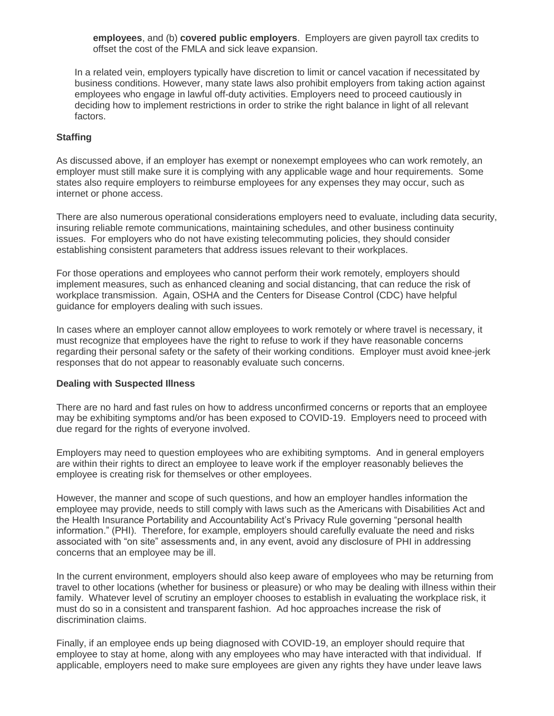**employees**, and (b) **covered public employers**. Employers are given payroll tax credits to offset the cost of the FMLA and sick leave expansion.

In a related vein, employers typically have discretion to limit or cancel vacation if necessitated by business conditions. However, many state laws also prohibit employers from taking action against employees who engage in lawful off-duty activities. Employers need to proceed cautiously in deciding how to implement restrictions in order to strike the right balance in light of all relevant factors.

#### **Staffing**

As discussed above, if an employer has exempt or nonexempt employees who can work remotely, an employer must still make sure it is complying with any applicable wage and hour requirements. Some states also require employers to reimburse employees for any expenses they may occur, such as internet or phone access.

There are also numerous operational considerations employers need to evaluate, including data security, insuring reliable remote communications, maintaining schedules, and other business continuity issues. For employers who do not have existing telecommuting policies, they should consider establishing consistent parameters that address issues relevant to their workplaces.

For those operations and employees who cannot perform their work remotely, employers should implement measures, such as enhanced cleaning and social distancing, that can reduce the risk of workplace transmission. Again, OSHA and the Centers for Disease Control (CDC) have helpful guidance for employers dealing with such issues.

In cases where an employer cannot allow employees to work remotely or where travel is necessary, it must recognize that employees have the right to refuse to work if they have reasonable concerns regarding their personal safety or the safety of their working conditions. Employer must avoid knee-jerk responses that do not appear to reasonably evaluate such concerns.

#### **Dealing with Suspected Illness**

There are no hard and fast rules on how to address unconfirmed concerns or reports that an employee may be exhibiting symptoms and/or has been exposed to COVID-19. Employers need to proceed with due regard for the rights of everyone involved.

Employers may need to question employees who are exhibiting symptoms. And in general employers are within their rights to direct an employee to leave work if the employer reasonably believes the employee is creating risk for themselves or other employees.

However, the manner and scope of such questions, and how an employer handles information the employee may provide, needs to still comply with laws such as the Americans with Disabilities Act and the Health Insurance Portability and Accountability Act's Privacy Rule governing "personal health information." (PHI). Therefore, for example, employers should carefully evaluate the need and risks associated with "on site" assessments and, in any event, avoid any disclosure of PHI in addressing concerns that an employee may be ill.

In the current environment, employers should also keep aware of employees who may be returning from travel to other locations (whether for business or pleasure) or who may be dealing with illness within their family. Whatever level of scrutiny an employer chooses to establish in evaluating the workplace risk, it must do so in a consistent and transparent fashion. Ad hoc approaches increase the risk of discrimination claims.

Finally, if an employee ends up being diagnosed with COVID-19, an employer should require that employee to stay at home, along with any employees who may have interacted with that individual. If applicable, employers need to make sure employees are given any rights they have under leave laws